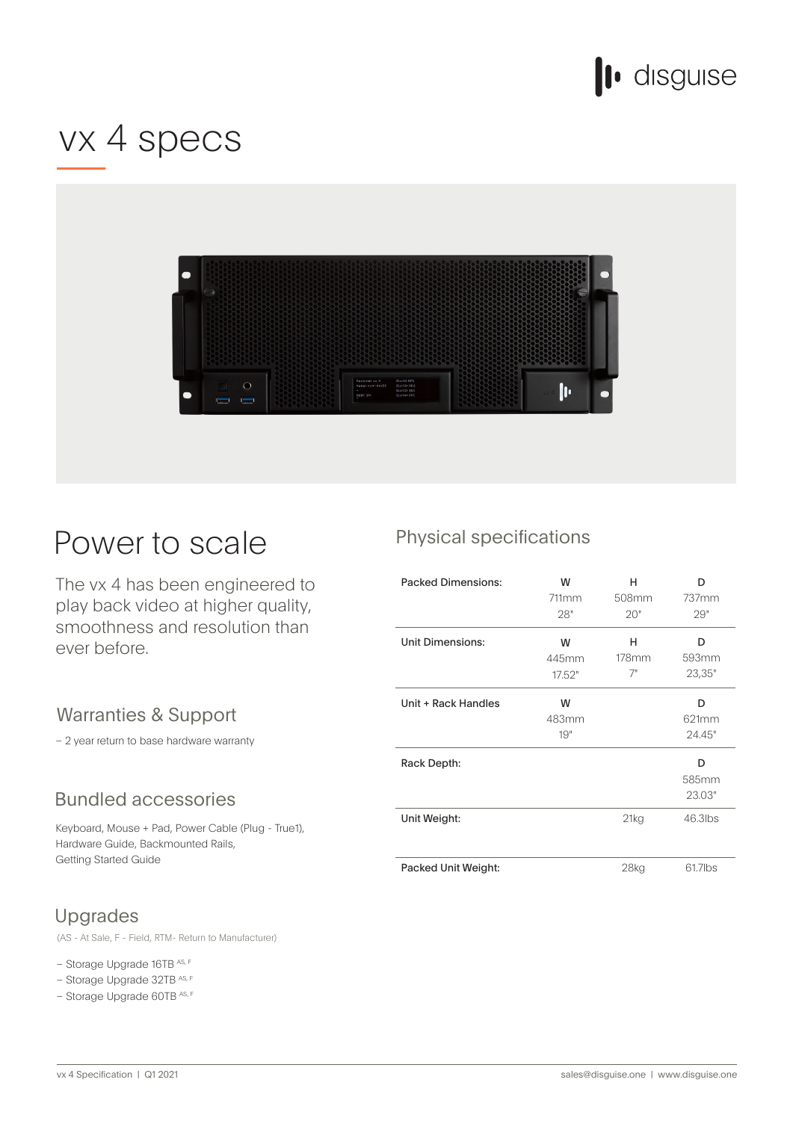

# vx 4 specs



## Power to scale

The vx 4 has been engineered to play back video at higher quality, smoothness and resolution than ever before.

### Warranties & Support

- 2 year return to base hardware warranty

### **Bundled accessories**

Keyboard, Mouse + Pad, Power Cable (Plug - True1), Hardware Guide, Backmounted Rails, Getting Started Guide

## Upgrades

(AS - At Sale, F - Field, RTM- Return to Manufacturer)

– Storage Upgrade 16TB AS, F

- Storage Upgrade 32TB AS, F
- Storage Upgrade 60TB AS, F

## Physical specifications

| <b>Packed Dimensions:</b> | W<br>711mm<br>28"    | н<br>508mm<br>20"   | n<br>737mm<br>29"    |
|---------------------------|----------------------|---------------------|----------------------|
| <b>Unit Dimensions:</b>   | W<br>445mm<br>17.52" | н<br>$178$ mm<br>7" | D<br>593mm<br>23,35" |
| Unit + Rack Handles       | W<br>483mm<br>19"    |                     | D<br>621mm<br>24.45" |
| Rack Depth:               |                      |                     | D<br>585mm<br>23.03" |
| Unit Weight:              |                      | 21kg                | 46.3lbs              |
| Packed Unit Weight:       |                      | 28 <sub>kg</sub>    | 61.7lbs              |